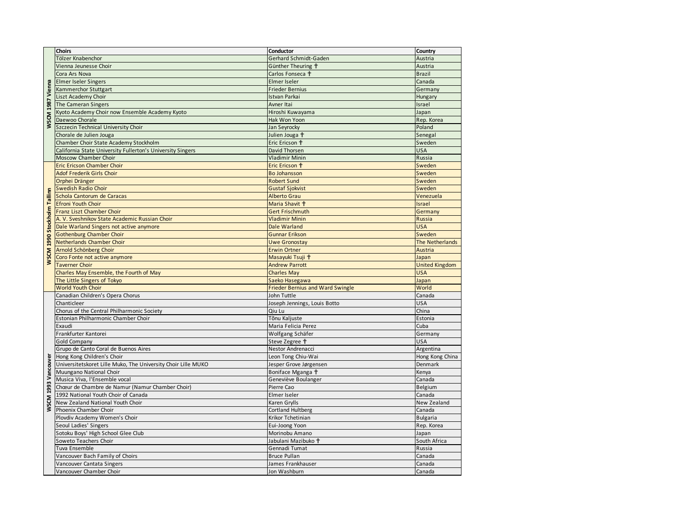|                             | Choirs                                                        | Conductor                               | Country               |
|-----------------------------|---------------------------------------------------------------|-----------------------------------------|-----------------------|
| WSCM 1987 Vienna            | Tölzer Knabenchor                                             | Gerhard Schmidt-Gaden                   | Austria               |
|                             | Vienna Jeunesse Choir                                         | Günther Theuring <sup>+</sup>           | Austria               |
|                             | Cora Ars Nova                                                 | Carlos Fonseca <sup>+</sup>             | <b>Brazil</b>         |
|                             | <b>Elmer Iseler Singers</b>                                   | Elmer Iseler                            | Canada                |
|                             | Kammerchor Stuttgart                                          | <b>Frieder Bernius</b>                  | Germany               |
|                             | Liszt Academy Choir                                           | <b>Istvan Parkai</b>                    | Hungary               |
|                             | The Cameran Singers                                           | Avner Itai                              | Israel                |
|                             | Kyoto Academy Choir now Ensemble Academy Kyoto                | Hiroshi Kuwayama                        | Japan                 |
|                             | Daewoo Chorale                                                | Hak Won Yoon                            | Rep. Korea            |
|                             | Szczecin Technical University Choir                           | Jan Seyrocky                            | Poland                |
|                             | Chorale de Julien Jouga                                       | Julien Jouga <sup>+</sup>               | Senegal               |
|                             | Chamber Choir State Academy Stockholm                         | Eric Ericson <sup>+</sup>               | Sweden                |
|                             | California State University Fullerton's University Singers    | David Thorsen                           | <b>USA</b>            |
|                             | Moscow Chamber Choir                                          | <b>Vladimir Minin</b>                   | Russia                |
|                             | <b>Eric Ericson Chamber Choir</b>                             | Eric Ericson +                          | Sweden                |
|                             | Adof Frederik Girls Choir                                     | <b>Bo Johansson</b>                     | Sweden                |
|                             | Orphei Dränger                                                | <b>Robert Sund</b>                      | Sweden                |
|                             | <b>Swedish Radio Choir</b>                                    | <b>Gustaf Sjokvist</b>                  | Sweden                |
|                             | Schola Cantorum de Caracas                                    | <b>Alberto Grau</b>                     | Venezuela             |
|                             | <b>Efroni Youth Choir</b>                                     | Maria Shavit <sup>†</sup>               | Israel                |
|                             | Franz Liszt Chamber Choir                                     | <b>Gert Frischmuth</b>                  | Germany               |
|                             | A. V. Sveshnikov State Academic Russian Choir                 | <b>Vladimir Minin</b>                   | <b>Russia</b>         |
|                             | Dale Warland Singers not active anymore                       | Dale Warland                            | <b>USA</b>            |
|                             | <b>Gothenburg Chamber Choir</b>                               | <b>Gunnar Erikson</b>                   | Sweden                |
|                             | Netherlands Chamber Choir                                     | Uwe Gronostay                           | The Netherlands       |
|                             | Arnold Schönberg Choir                                        | <b>Erwin Ortner</b>                     | <b>Austria</b>        |
| WSCM 1990 Stockholm Tallinn | Coro Fonte not active anymore                                 | Masayuki Tsuji †                        | Japan                 |
|                             | <b>Taverner Choir</b>                                         | <b>Andrew Parrott</b>                   | <b>United Kingdom</b> |
|                             | Charles May Ensemble, the Fourth of May                       | <b>Charles May</b>                      | <b>USA</b>            |
|                             | The Little Singers of Tokyo                                   | Saeko Hasegawa                          | Japan                 |
|                             | <b>World Youth Choir</b>                                      | <b>Frieder Bernius and Ward Swingle</b> | World                 |
|                             | Canadian Children's Opera Chorus                              | John Tuttle                             | Canada                |
|                             | Chanticleer                                                   | Joseph Jennings, Louis Botto            | USA                   |
|                             | Chorus of the Central Philharmonic Society                    | Qiu Lu                                  | China                 |
|                             | Estonian Philharmonic Chamber Choir                           | Tõnu Kaljuste                           | Estonia               |
|                             | Exaudi                                                        | Maria Felicia Perez                     | Cuba                  |
|                             | Frankfurter Kantorei                                          | Wolfgang Schäfer                        | Germany               |
|                             | <b>Gold Company</b>                                           | Steve Zegree <sup>+</sup>               | USA                   |
|                             | Grupo de Canto Coral de Buenos Aires                          | Nestor Andrenacci                       | Argentina             |
|                             | Hong Kong Children's Choir                                    | Leon Tong Chiu-Wai                      | Hong Kong China       |
|                             | Universitetskoret Lille Muko, The University Choir Lille MUKO | Jesper Grove Jørgensen                  | Denmark               |
|                             | Muungano National Choir                                       | Boniface Mganga <sup>+</sup>            | Kenya                 |
|                             | Musica Viva, l'Ensemble vocal                                 | Geneviève Boulanger                     | Canada                |
|                             | Chœur de Chambre de Namur (Namur Chamber Choir)               | Pierre Cao                              | Belgium               |
|                             | 1992 National Youth Choir of Canada                           | Elmer Iseler                            | Canada                |
| WSCM 1993 Vancouver         | New Zealand National Youth Choir                              | Karen Grylls                            | New Zealand           |
|                             | Phoenix Chamber Choir                                         | <b>Cortland Hultberg</b>                | Canada                |
|                             | Plovdiv Academy Women's Choir                                 | Krikor Tchetinian                       | <b>Bulgaria</b>       |
|                             | Seoul Ladies' Singers                                         | Eui-Joong Yoon                          | Rep. Korea            |
|                             | Sotoku Boys' High School Glee Club                            | Morinobu Amano                          | Japan                 |
|                             | Soweto Teachers Choir                                         | Jabulani Mazibuko <sup>+</sup>          | South Africa          |
|                             | Tuva Ensemble                                                 | Gennadi Tumat                           | Russia                |
|                             | Vancouver Bach Family of Choirs                               | <b>Bruce Pullan</b>                     | Canada                |
|                             | Vancouver Cantata Singers                                     | James Frankhauser                       | Canada                |
|                             | Vancouver Chamber Choir                                       | Jon Washburn                            | Canada                |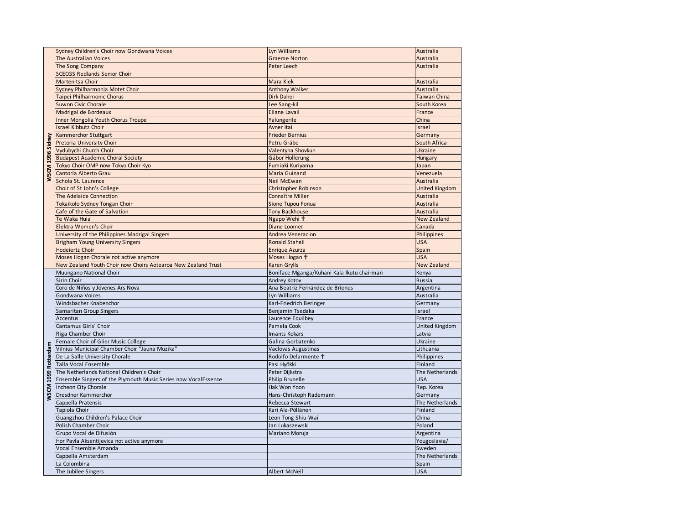|                     | Sydney Children's Choir now Gondwana Voices                    | Lyn Williams                               | Australia             |
|---------------------|----------------------------------------------------------------|--------------------------------------------|-----------------------|
|                     | <b>The Australian Voices</b>                                   | <b>Graeme Norton</b>                       | Australia             |
|                     | The Song Company                                               | Peter Leech                                | Australia             |
|                     | <b>SCECGS Redlands Senior Choir</b>                            |                                            |                       |
|                     | Martenitsa Choir                                               | Mara Kiek                                  | Australia             |
|                     | Sydney Philharmonia Motet Choir                                | <b>Anthony Walker</b>                      | Australia             |
|                     | Taipei Philharmonic Chorus                                     | Dirk Duhei                                 | <b>Taiwan China</b>   |
|                     | <b>Suwon Civic Chorale</b>                                     | Lee Sang-kil                               | South Korea           |
|                     | Madrigal de Bordeaux                                           | <b>Eliane Lavail</b>                       | France                |
|                     | Inner Mongolia Youth Chorus Troupe                             | Yalungerile                                | China                 |
|                     | <b>Israel Kibbutz Choir</b>                                    | Avner Itai                                 | Israel                |
|                     | Kammerchor Stuttgart                                           | <b>Frieder Bernius</b>                     | Germany               |
| WSCM 1996 Sidney    | Pretoria University Choir                                      | Petru Gräbe                                | South Africa          |
|                     | Vydubychi Church Choir                                         | Valentyna Shovkun                          | <b>Ukraine</b>        |
|                     | <b>Budapest Academic Choral Society</b>                        | Gábor Hollerung                            |                       |
|                     |                                                                |                                            | Hungary               |
|                     | Tokyo Choir OMP now Tokyo Choir Kyo                            | Fumiaki Kuriyama                           | Japan                 |
|                     | Cantoría Alberto Grau                                          | María Guinand                              | Venezuela             |
|                     | Schola St. Laurence                                            | <b>Neil McEwan</b>                         | Australia             |
|                     | Choir of St John's College                                     | Christopher Robinson                       | <b>United Kingdom</b> |
|                     | The Adelaide Connection                                        | Connaître Miller                           | Australia             |
|                     | Tokaikolo Sydney Tongan Choir                                  | Sione Tupou Fonua                          | Australia             |
|                     | Cafe of the Gate of Salvation                                  | <b>Tony Backhouse</b>                      | Australia             |
|                     | Te Waka Huia                                                   | Ngapo Wehi <sup>+</sup>                    | <b>New Zealand</b>    |
|                     | Elektra Women's Choir                                          | Diane Loomer                               | Canada                |
|                     | University of the Philippines Madrigal Singers                 | <b>Andrea Veneracion</b>                   | Philippines           |
|                     | <b>Brigham Young University Singers</b>                        | <b>Ronald Staheli</b>                      | <b>USA</b>            |
|                     | Hodeiertz Choir                                                | <b>Enrique Azurza</b>                      | Spain                 |
|                     | Moses Hogan Chorale not active anymore                         | Moses Hogan †                              | <b>USA</b>            |
|                     |                                                                |                                            |                       |
|                     | New Zealand Youth Choir now Choirs Aotearoa New Zealand Trust  | Karen Grylls                               | <b>New Zealand</b>    |
|                     | Muungano National Choir                                        | Boniface Mganga/Kuhani Kala Ikutu chairman | Kenya                 |
|                     | Sirin Choir                                                    | Andrey Kotov                               | Russia                |
|                     | Coro de Niños y Jóvenes Ars Nova                               | Ana Beatriz Fernández de Briones           | Argentina             |
|                     | Gondwana Voices                                                | Lyn Williams                               | Australia             |
|                     | Windsbacher Knabenchor                                         | Karl-Friedrich Beringer                    | Germany               |
|                     | <b>Samaritan Group Singers</b>                                 | Benjamin Tsedaka                           | Israel                |
|                     | Accentus                                                       | Laurence Equilbey                          | France                |
|                     | Cantamus Girls' Choir                                          | Pamela Cook                                | United Kingdom        |
|                     | Riga Chamber Choir                                             | <b>Imants Kokars</b>                       | Latvia                |
|                     | Female Choir of Glier Music College                            | Galina Gorbatenko                          | Ukraine               |
|                     | Vilnius Municipal Chamber Choir "Jauna Muzika"                 | Vaclovas Augustinas                        | Lithuania             |
|                     | De La Salle University Chorale                                 | Rodolfo Delarmente +                       | Philippines           |
|                     | Talla Vocal Ensemble                                           | Pasi Hyökki                                | Finland               |
|                     | The Netherlands National Children's Choir                      | Peter Dijkstra                             | The Netherlands       |
|                     | Ensemble Singers of the Plymouth Music Series now VocalEssence | <b>Philip Brunelle</b>                     | <b>USA</b>            |
|                     | Incheon City Chorale                                           | Hak Won Yoon                               | Rep. Korea            |
| WSCM 1999 Rotterdam | Dresdner Kammerchor                                            | Hans-Christoph Rademann                    | Germany               |
|                     | Cappella Pratensis                                             | Rebecca Stewart                            | The Netherlands       |
|                     | Tapiola Choir                                                  | Kari Ala-Pöllänen                          | Finland               |
|                     | Guangzhou Children's Palace Choir                              | Leon Tong Shiu-Wai                         | China                 |
|                     | Polish Chamber Choir                                           | Jan Lukaszewski                            | Poland                |
|                     | Grupo Vocal de Difusión                                        | Mariano Moruja                             | Argentina             |
|                     | Hor Pavla Aksentijevica not active anymore                     |                                            | Yougoslavia/          |
|                     | Vocal Ensemble Amanda                                          |                                            | Sweden                |
|                     | Cappella Amsterdam                                             |                                            | The Netherlands       |
|                     | La Colombina<br>The Jubilee Singers                            | <b>Albert McNeil</b>                       | Spain<br><b>USA</b>   |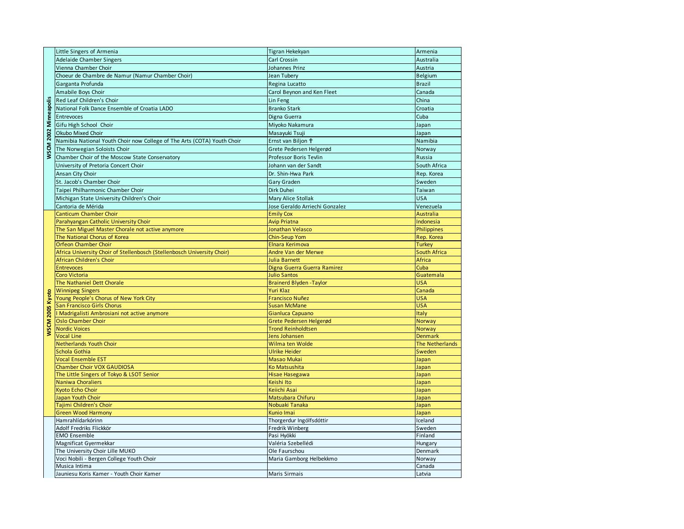| WSCM 2002 Minneapolis | Little Singers of Armenia                                               | Tigran Hekekyan                              | Armenia             |
|-----------------------|-------------------------------------------------------------------------|----------------------------------------------|---------------------|
|                       | <b>Adelaide Chamber Singers</b>                                         | Carl Crossin                                 | Australia           |
|                       | Vienna Chamber Choir                                                    | Johannes Prinz                               | Austria             |
|                       | Choeur de Chambre de Namur (Namur Chamber Choir)                        | Jean Tubery                                  | <b>Belgium</b>      |
|                       | Garganta Profunda                                                       | Regina Lucatto                               | <b>Brazil</b>       |
|                       | Amabile Boys Choir                                                      | Carol Beynon and Ken Fleet                   | Canada              |
|                       | Red Leaf Children's Choir                                               | Lin Feng                                     | China               |
|                       | National Folk Dance Ensemble of Croatia LADO                            | <b>Branko Stark</b>                          | Croatia             |
|                       | Entrevoces                                                              | Digna Guerra                                 | Cuba                |
|                       | Gifu High School Choir                                                  | Miyoko Nakamura                              | Japan               |
|                       | Okubo Mixed Choir                                                       | Masayuki Tsuji                               | Japan               |
|                       | Namibia National Youth Choir now College of The Arts (COTA) Youth Choir | Ernst van Biljon †                           | Namibia             |
|                       | The Norwegian Soloists Choir                                            | Grete Pedersen Helgerød                      | Norway              |
|                       | Chamber Choir of the Moscow State Conservatory                          | Professor Boris Tevlin                       | Russia              |
|                       |                                                                         |                                              |                     |
|                       | University of Pretoria Concert Choir                                    | Johann van der Sandt                         | South Africa        |
|                       | Ansan City Choir                                                        | Dr. Shin-Hwa Park                            | Rep. Korea          |
|                       | St. Jacob's Chamber Choir                                               | Gary Graden                                  | Sweden              |
|                       | Taipei Philharmonic Chamber Choir                                       | Dirk Duhei                                   | Taiwan              |
|                       | Michigan State University Children's Choir                              | <b>Mary Alice Stollak</b>                    | <b>USA</b>          |
|                       | Cantoria de Mérida                                                      | Jose Geraldo Arriechi Gonzalez               | Venezuela           |
|                       | Canticum Chamber Choir                                                  | <b>Emily Cox</b>                             | <b>Australia</b>    |
|                       | Parahyangan Catholic University Choir                                   | <b>Avip Priatna</b>                          | Indonesia           |
|                       | The San Miguel Master Chorale not active anymore                        | Jonathan Velasco                             | Philippines         |
|                       | The National Chorus of Korea                                            | <b>Chin-Seup Yom</b>                         | Rep. Korea          |
|                       | <b>Orfeon Chamber Choir</b>                                             | <b>Elnara Kerimova</b>                       | <b>Turkey</b>       |
|                       | Africa University Choir of Stellenbosch (Stellenbosch University Choir) | Andre Van der Merwe                          | <b>South Africa</b> |
|                       | African Children's Choir<br><b>Entrevoces</b>                           | Julia Barnett<br>Digna Guerra Guerra Ramirez | Africa<br>Cuba      |
|                       | Coro Victoria                                                           | <b>Julio Santos</b>                          | Guatemala           |
|                       | The Nathaniel Dett Chorale                                              | <b>Brainerd Blyden - Taylor</b>              | <b>USA</b>          |
|                       | <b>Winnipeg Singers</b>                                                 | Yuri Klaz                                    | Canada              |
|                       | Young People's Chorus of New York City                                  | <b>Francisco Nuñez</b>                       | <b>USA</b>          |
|                       | San Francisco Girls Chorus                                              | <b>Susan McMane</b>                          | <b>USA</b>          |
| WSCM 2005 Kyoto       | I Madrigalisti Ambrosiani not active anymore                            | Gianluca Capuano                             | Italy               |
|                       | <b>Oslo Chamber Choir</b>                                               | Grete Pedersen Helgerød                      | Norway              |
|                       | <b>Nordic Voices</b>                                                    | <b>Trond Reinholdtsen</b>                    | Norway              |
|                       | <b>Vocal Line</b>                                                       | Jens Johansen                                | <b>Denmark</b>      |
|                       | <b>Netherlands Youth Choir</b>                                          | Wilma ten Wolde                              | The Netherlands     |
|                       | Schola Gothia                                                           | <b>Ulrike Heider</b>                         | Sweden              |
|                       | <b>Vocal Ensemble EST</b>                                               | <b>Masao Mukai</b>                           | Japan               |
|                       | Chamber Choir VOX GAUDIOSA                                              | Ko Matsushita                                | Japan               |
|                       | The Little Singers of Tokyo & LSOT Senior                               | <b>Hisae Hasegawa</b>                        | Japan               |
|                       | <b>Naniwa Choraliers</b>                                                | Keishi Ito                                   | Japan               |
|                       | Kyoto Echo Choir                                                        | Keiichi Asai                                 | Japan               |
|                       | Japan Youth Choir                                                       | Matsubara Chifuru                            | Japan               |
|                       | Tajimi Children's Choir                                                 | Nobuaki Tanaka                               | Japan               |
|                       | <b>Green Wood Harmony</b>                                               | Kunio Imai                                   | Japan               |
|                       | Hamrahlídarkórinn                                                       | Thorgerdur Ingólfsdóttir                     | Iceland             |
|                       | Adolf Fredriks Flickkör                                                 | Fredrik Winberg                              | Sweden              |
|                       | <b>EMO Ensemble</b>                                                     | Pasi Hyökki                                  | Finland             |
|                       | Magnificat Gyermekkar                                                   | Valéria Szebellédi                           | Hungary             |
|                       | The University Choir Lille MUKO                                         | Ole Faurschou                                | Denmark             |
|                       | Voci Nobili - Bergen College Youth Choir                                | Maria Gamborg Helbekkmo                      | Norway              |
|                       | Musica Intima                                                           |                                              | Canada              |
|                       | Jauniesu Koris Kamer - Youth Choir Kamer                                | <b>Maris Sirmais</b>                         | Latvia              |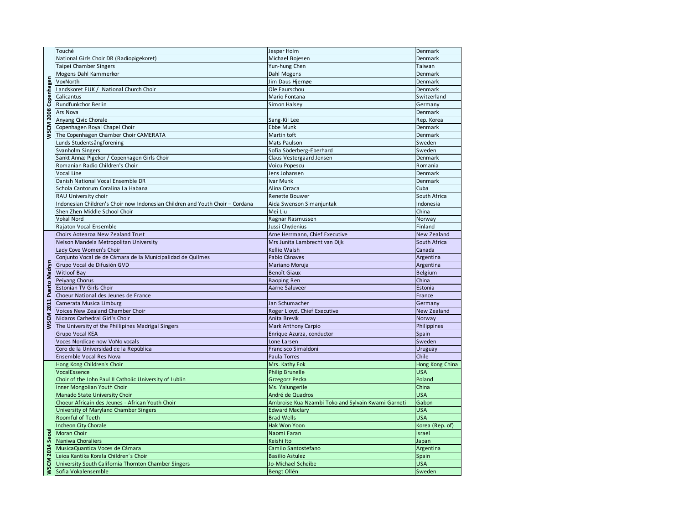| WSCM 2008 Copenhagen    | Touché                                                                        | Jesper Holm                                        | Denmark            |
|-------------------------|-------------------------------------------------------------------------------|----------------------------------------------------|--------------------|
|                         | National Girls Choir DR (Radiopigekoret)                                      | Michael Bojesen                                    | Denmark            |
|                         | Taipei Chamber Singers                                                        | Yun-hung Chen                                      | Taiwan             |
|                         | Mogens Dahl Kammerkor                                                         | Dahl Mogens                                        | Denmark            |
|                         | VoxNorth                                                                      | Jim Daus Hjernøe                                   | Denmark            |
|                         | Landskoret FUK / National Church Choir                                        | Ole Faurschou                                      | Denmark            |
|                         | Calicantus                                                                    | Mario Fontana                                      | Switzerland        |
|                         | Rundfunkchor Berlin                                                           | Simon Halsey                                       | Germany            |
|                         | Ars Nova                                                                      |                                                    | Denmark            |
|                         | Anyang Civic Chorale                                                          | Sang-Kil Lee                                       | Rep. Korea         |
|                         | Copenhagen Royal Chapel Choir                                                 | <b>Ebbe Munk</b>                                   | Denmark            |
|                         | The Copenhagen Chamber Choir CAMERATA                                         | Martin toft                                        | Denmark            |
|                         |                                                                               |                                                    |                    |
|                         | Lunds Studentsångförening                                                     | Mats Paulson                                       | Sweden             |
|                         | Svanholm Singers                                                              | Sofia Söderberg-Eberhard                           | Sweden             |
|                         | Sankt Annæ Pigekor / Copenhagen Girls Choir                                   | Claus Vestergaard Jensen                           | Denmark            |
|                         | Romanian Radio Children's Choir                                               | Voicu Popescu                                      | Romania            |
|                         | Vocal Line                                                                    | Jens Johansen                                      | Denmark            |
|                         | Danish National Vocal Ensemble DR                                             | Ivar Munk                                          | Denmark            |
|                         | Schola Cantorum Coralina La Habana                                            | Alina Orraca                                       | Cuba               |
|                         | RAU University choir                                                          | <b>Renette Bouwer</b>                              | South Africa       |
|                         | Indonesian Children's Choir now Indonesian Children and Youth Choir - Cordana | Aida Swenson Simanjuntak                           | Indonesia          |
|                         | Shen Zhen Middle School Choir                                                 | Mei Liu                                            | China              |
|                         | Vokal Nord                                                                    | Ragnar Rasmussen                                   | Norway             |
|                         | Rajaton Vocal Ensemble                                                        | Jussi Chydenius                                    | Finland            |
|                         | Choirs Aotearoa New Zealand Trust                                             | Arne Herrmann, Chief Executive                     | <b>New Zealand</b> |
|                         | Nelson Mandela Metropolitan University                                        | Mrs Junita Lambrecht van Dijk                      | South Africa       |
|                         | Lady Cove Women's Choir                                                       | Kellie Walsh                                       | Canada             |
|                         | Conjunto Vocal de de Cámara de la Municipalidad de Quilmes                    | Pablo Cánaves                                      | Argentina          |
| WSCM 2011 Puerto Madryn | Grupo Vocal de Difusión GVD                                                   | Mariano Moruja                                     | Argentina          |
|                         | <b>Witloof Bay</b>                                                            | <b>Benoît Giaux</b>                                | <b>Belgium</b>     |
|                         | Peiyang Chorus                                                                | <b>Baoping Ren</b>                                 | China              |
|                         | Estonian TV Girls Choir                                                       | Aarne Saluveer                                     | Estonia            |
|                         | Choeur National des Jeunes de France                                          |                                                    | France             |
|                         | Camerata Musica Limburg                                                       | Jan Schumacher                                     | Germany            |
|                         | <b>Voices New Zealand Chamber Choir</b>                                       | Roger Lloyd, Chief Executive                       | <b>New Zealand</b> |
|                         | Nidaros Carhedral Girl's Choir                                                | Anita Brevik                                       | Norway             |
|                         | The University of the Phillipines Madrigal Singers                            | <b>Mark Anthony Carpio</b>                         | Philippines        |
|                         | <b>Grupo Vocal KEA</b>                                                        | Enrique Azurza, conductor                          | Spain              |
|                         | Voces Nordicae now VoNo vocals                                                | Lone Larsen                                        | Sweden             |
|                         | Coro de la Universidad de la República                                        | Francisco Simaldoni                                | Uruguay            |
|                         | <b>Ensemble Vocal Res Nova</b>                                                | Paula Torres                                       | Chile              |
|                         | Hong Kong Children's Choir                                                    | Mrs. Kathy Fok                                     | Hong Kong China    |
|                         | VocalEssence                                                                  | <b>Philip Brunelle</b>                             | <b>USA</b>         |
|                         | Choir of the John Paul II Catholic University of Lublin                       | Grzegorz Pecka                                     | Poland             |
|                         | Inner Mongolian Youth Choir                                                   | Ms. Yalungerile                                    | China              |
|                         | Manado State University Choir                                                 | André de Quadros                                   | <b>USA</b>         |
|                         | Choeur Africain des Jeunes - African Youth Choir                              | Ambroise Kua Nzambi Toko and Sylvain Kwami Garneti | Gabon              |
|                         | University of Maryland Chamber Singers                                        | <b>Edward Maclary</b>                              | <b>USA</b>         |
|                         | Roomful of Teeth                                                              | <b>Brad Wells</b>                                  | <b>USA</b>         |
|                         | <b>Incheon City Chorale</b>                                                   | Hak Won Yoon                                       | Korea (Rep. of)    |
|                         | Moran Choir                                                                   | Naomi Faran                                        | Israel             |
|                         | Naniwa Choraliers                                                             | Keishi Ito                                         | Japan              |
| WSCM 2014 Seoul         | MusicaQuantica Voces de Cámara                                                | Camilo Santostefano                                | Argentina          |
|                         | Leioa Kantika Korala Children's Choir                                         | <b>Basilio Astulez</b>                             | Spain              |
|                         | University South California Thornton Chamber Singers                          | Jo-Michael Scheibe                                 | <b>USA</b>         |
|                         | Sofia Vokalensemble                                                           | <b>Bengt Ollén</b>                                 | Sweden             |